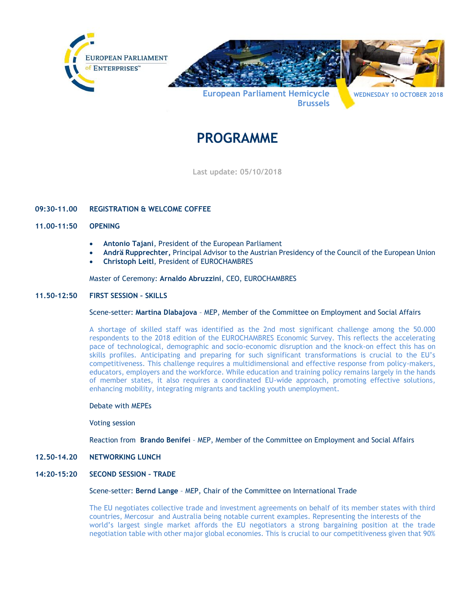

# **PROGRAMME**

**Last update: 05/10/2018**

# **09:30-11.00 REGISTRATION & WELCOME COFFEE**

## **11.00-11:50 OPENING**

- **Antonio Tajani**, President of the European Parliament
- **Andrä Rupprechter,** Principal Advisor to the Austrian Presidency of the Council of the European Union
- **Christoph Leitl**, President of EUROCHAMBRES

## Master of Ceremony: **Arnaldo Abruzzini**, CEO, EUROCHAMBRES

## **11.50-12:50 FIRST SESSION – SKILLS**

## Scene-setter: **Martina Dlabajova** – MEP, Member of the Committee on Employment and Social Affairs

A shortage of skilled staff was identified as the 2nd most significant challenge among the 50.000 respondents to the 2018 edition of the EUROCHAMBRES Economic Survey. This reflects the accelerating pace of technological, demographic and socio-economic disruption and the knock-on effect this has on skills profiles. Anticipating and preparing for such significant transformations is crucial to the EU's competitiveness. This challenge requires a multidimensional and effective response from policy-makers, educators, employers and the workforce. While education and training policy remains largely in the hands of member states, it also requires a coordinated EU-wide approach, promoting effective solutions, enhancing mobility, integrating migrants and tackling youth unemployment.

#### Debate with MEPEs

#### Voting session

Reaction from **Brando Benifei** – MEP, Member of the Committee on Employment and Social Affairs

#### **12.50-14.20 NETWORKING LUNCH**

## **14:20-15:20 SECOND SESSION – TRADE**

#### Scene-setter: **Bernd Lange** – MEP, Chair of the Committee on International Trade

The EU negotiates collective trade and investment agreements on behalf of its member states with third countries, Mercosur and Australia being notable current examples. Representing the interests of the world's largest single market affords the EU negotiators a strong bargaining position at the trade negotiation table with other major global economies. This is crucial to our competitiveness given that 90%